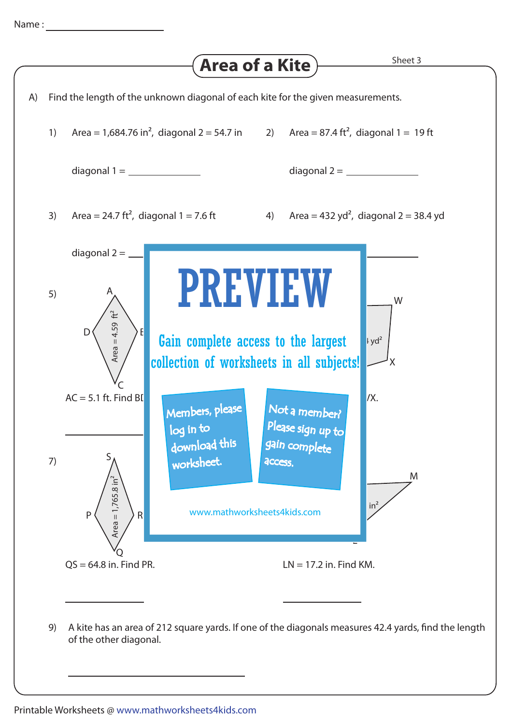